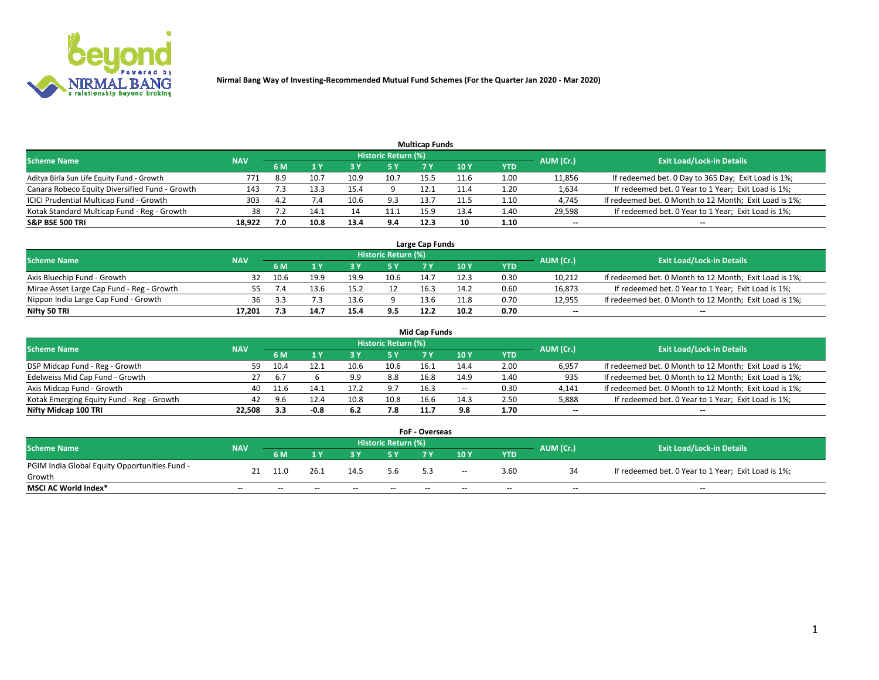

| <b>Multicap Funds</b>                          |            |     |      |      |                     |      |      |      |                          |                                                        |  |  |  |  |
|------------------------------------------------|------------|-----|------|------|---------------------|------|------|------|--------------------------|--------------------------------------------------------|--|--|--|--|
| Scheme Name                                    | <b>NAV</b> |     |      |      | Historic Return (%) |      |      |      | AUM (Cr.)                | <b>Exit Load/Lock-in Details</b>                       |  |  |  |  |
|                                                |            | 6 M |      |      | 5 Y                 |      | 10 ۱ | YTD  |                          |                                                        |  |  |  |  |
| Aditya Birla Sun Life Equity Fund - Growth     | 771        | 8.9 | 10.7 | 10.9 | 10.7                | 15.5 | 11.6 | 1.00 | 11,856                   | If redeemed bet. 0 Day to 365 Day; Exit Load is 1%;    |  |  |  |  |
| Canara Robeco Equity Diversified Fund - Growth | 143        |     | 13.3 | 15.4 |                     | 12.1 |      | 1.20 | 1,634                    | If redeemed bet. 0 Year to 1 Year; Exit Load is 1%;    |  |  |  |  |
| ICICI Prudential Multicap Fund - Growth        | 303        | 4.2 |      | 10.6 | 9.3                 | 13.7 | 11.5 | 1.10 | 4,745                    | If redeemed bet. 0 Month to 12 Month; Exit Load is 1%; |  |  |  |  |
| Kotak Standard Multicap Fund - Reg - Growth    | 38         |     | 14.1 |      | 11.1                | 15.9 | 13.4 | 1.40 | 29,598                   | If redeemed bet. 0 Year to 1 Year; Exit Load is 1%;    |  |  |  |  |
| <b>S&amp;P BSE 500 TRI</b>                     | 18.922     | 7.0 | 10.8 | 13.4 | 9.4                 | 12.3 | 10   | 1.10 | $\overline{\phantom{a}}$ | $- -$                                                  |  |  |  |  |

| Large Cap Funds                           |            |           |                                  |      |      |      |      |      |        |                                                        |  |  |  |  |
|-------------------------------------------|------------|-----------|----------------------------------|------|------|------|------|------|--------|--------------------------------------------------------|--|--|--|--|
| Scheme Name                               | <b>NAV</b> | AUM (Cr.) | <b>Exit Load/Lock-in Details</b> |      |      |      |      |      |        |                                                        |  |  |  |  |
|                                           |            | 6 M       |                                  |      | 5 Y  |      | 10Y  | YTD  |        |                                                        |  |  |  |  |
| Axis Bluechip Fund - Growth               |            | 10.6      | 19.9                             | 19.9 | 10.6 | 14.7 | 12.3 | 0.30 | 10,212 | If redeemed bet. 0 Month to 12 Month; Exit Load is 1%; |  |  |  |  |
| Mirae Asset Large Cap Fund - Reg - Growth |            |           | 13.6                             |      |      | 16.3 | 14.2 | 0.60 | 16,873 | If redeemed bet. 0 Year to 1 Year; Exit Load is 1%;    |  |  |  |  |
| Nippon India Large Cap Fund - Growth      | 36         |           |                                  | 13.6 |      | 13.6 | 11.8 | 0.70 | 12,955 | If redeemed bet. 0 Month to 12 Month; Exit Load is 1%; |  |  |  |  |
| Nifty 50 TRI                              | 17.201     |           | 14.                              | 15.4 | 9.5  | 12.2 | 10.2 | 0.70 | $\sim$ | $-$                                                    |  |  |  |  |

|                                           |            |      |      |      |                     | <b>Mid Cap Funds</b> |        |            |           |                                                        |
|-------------------------------------------|------------|------|------|------|---------------------|----------------------|--------|------------|-----------|--------------------------------------------------------|
| <b>Scheme Name</b>                        | <b>NAV</b> |      |      |      | Historic Return (%) |                      |        |            | AUM (Cr.) | <b>Exit Load/Lock-in Details</b>                       |
|                                           |            | 6 M  |      |      |                     |                      | 10Y    | <b>YTD</b> |           |                                                        |
| DSP Midcap Fund - Reg - Growth            | 59         | 10.4 |      | 10.6 | 10.6                | 16.1                 | 14.4   | 2.00       | 6,957     | If redeemed bet. 0 Month to 12 Month; Exit Load is 1%; |
| Edelweiss Mid Cap Fund - Growth           |            | 6.7  |      | 9.9  | 8.8                 | 16.8                 | 14.9   | 1.40       | 935       | If redeemed bet. 0 Month to 12 Month; Exit Load is 1%; |
| Axis Midcap Fund - Growth                 | 40         | 11.6 | 14.1 | 17.2 | 9.7                 | 16.3                 | $\sim$ | 0.30       | 4,141     | If redeemed bet. 0 Month to 12 Month; Exit Load is 1%; |
| Kotak Emerging Equity Fund - Reg - Growth | 42         | 9.6  | 12.4 | 10.8 | 10.8                | 16.6                 | 14.3   | 2.50       | 5,888     | If redeemed bet. 0 Year to 1 Year; Exit Load is 1%;    |
| Nifty Midcap 100 TRI                      | 22.508     | 3.3  | -0.8 | 6.2  | 7.8                 | 11.7                 | 9.8    | 1.70       | $\sim$    | $- -$                                                  |

| <b>FoF - Overseas</b>                         |            |           |       |                                  |       |     |        |            |           |                                                     |  |  |  |
|-----------------------------------------------|------------|-----------|-------|----------------------------------|-------|-----|--------|------------|-----------|-----------------------------------------------------|--|--|--|
| <b>Scheme Name</b>                            | <b>NAV</b> |           |       | <b>Exit Load/Lock-in Details</b> |       |     |        |            |           |                                                     |  |  |  |
|                                               |            | <b>6M</b> |       |                                  |       |     | 10Y    | <b>YTD</b> | AUM (Cr.) |                                                     |  |  |  |
| PGIM India Global Equity Opportunities Fund - |            |           | 26.1  | 14.5                             | 5.6   |     |        |            |           | If redeemed bet. 0 Year to 1 Year; Exit Load is 1%; |  |  |  |
| Growth                                        | 21         |           |       |                                  |       | 5.3 | $\sim$ | 3.60       |           |                                                     |  |  |  |
| <b>MSCI AC World Index*</b>                   | $- -$      | $- -$     | $- -$ | $- -$                            | $- -$ | --  | $- -$  | $- -$      | $- -$     | $- -$                                               |  |  |  |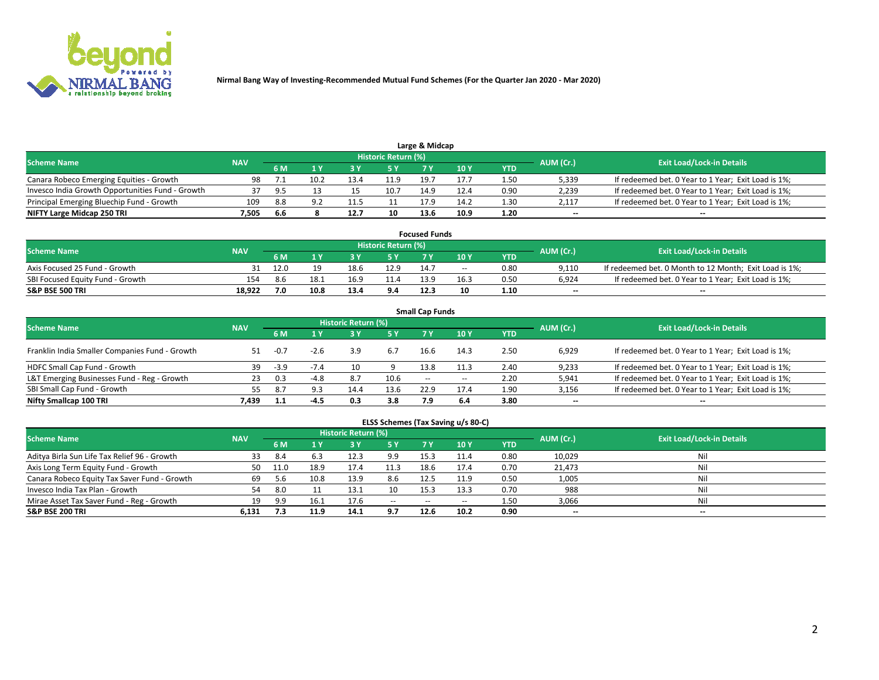

| Large & Midcap                                   |            |      |      |          |                     |      |      |      |           |                                                     |  |  |  |  |
|--------------------------------------------------|------------|------|------|----------|---------------------|------|------|------|-----------|-----------------------------------------------------|--|--|--|--|
| <b>Scheme Name</b>                               | <b>NAV</b> |      |      |          | Historic Return (%) |      |      |      | AUM (Cr.) | <b>Exit Load/Lock-in Details</b>                    |  |  |  |  |
|                                                  |            | 6 M  |      |          | 5 Y                 |      | 10Y  | YTD  |           |                                                     |  |  |  |  |
| Canara Robeco Emerging Equities - Growth         | 98         |      | 10.2 |          | 11.9                | 19.7 | 17.7 | 1.50 | 5,339     | If redeemed bet. 0 Year to 1 Year; Exit Load is 1%; |  |  |  |  |
| Invesco India Growth Opportunities Fund - Growth |            | -95  |      |          | 10.7                | 14.9 | 12.4 | 0.90 | 2,239     | If redeemed bet. 0 Year to 1 Year; Exit Load is 1%; |  |  |  |  |
| Principal Emerging Bluechip Fund - Growth        | 109        | 8.8  |      | <u>.</u> | ᆠᆠ                  | 17.9 | 14.2 | 1.30 | 2,117     | If redeemed bet. 0 Year to 1 Year; Exit Load is 1%; |  |  |  |  |
| NIFTY Large Midcap 250 TRI                       | 7.505      | -6.6 |      | 12.7     | 10                  | 13.6 | 10.9 | 1.20 | $\sim$    | $-$                                                 |  |  |  |  |

| <b>Focused Funds</b>             |            |      |      |      |                     |      |       |      |           |                                                        |  |  |  |
|----------------------------------|------------|------|------|------|---------------------|------|-------|------|-----------|--------------------------------------------------------|--|--|--|
| <b>Scheme Name</b>               | <b>NAV</b> |      |      |      | Historic Return (%) |      |       |      | AUM (Cr.) | <b>Exit Load/Lock-in Details</b>                       |  |  |  |
|                                  |            | 6 M  |      |      |                     |      | 10 Y  | YTD  |           |                                                        |  |  |  |
| Axis Focused 25 Fund - Growth    |            | 12.0 |      | 18.6 | 12.9                | 14.7 | $- -$ | 0.80 | 9.110     | If redeemed bet. 0 Month to 12 Month; Exit Load is 1%; |  |  |  |
| SBI Focused Equity Fund - Growth | 154        | 8.6  | 18.1 |      | 11.4                | 13.9 | 16.3  | 0.50 | 6.924     | If redeemed bet. 0 Year to 1 Year; Exit Load is 1%;    |  |  |  |
| <b>S&amp;P BSE 500 TRI</b>       | 18.922     | 7.0  | 10.8 | 13.4 | 9.4                 | 12.3 |       | 1.10 | $\sim$    | $- -$                                                  |  |  |  |

| <b>Small Cap Funds</b>                         |            |           |        |                            |      |      |       |            |           |                                                     |  |  |  |  |
|------------------------------------------------|------------|-----------|--------|----------------------------|------|------|-------|------------|-----------|-----------------------------------------------------|--|--|--|--|
| <b>Scheme Name</b>                             | <b>NAV</b> |           |        | <b>Historic Return (%)</b> |      |      |       |            | AUM (Cr.) | <b>Exit Load/Lock-in Details</b>                    |  |  |  |  |
|                                                |            | <b>6M</b> |        |                            | 5 Y  | 7 Y  | 10Y   | <b>YTD</b> |           |                                                     |  |  |  |  |
| Franklin India Smaller Companies Fund - Growth | 51         | $-0.7$    | $-2.6$ | 3.9                        | 6.7  | 16.6 | 14.3  | 2.50       | 6.929     | If redeemed bet. 0 Year to 1 Year; Exit Load is 1%; |  |  |  |  |
| HDFC Small Cap Fund - Growth                   | 39         | $-3.9$    | $-7.4$ | 10                         |      | 13.8 | 11.3  | 2.40       | 9,233     | If redeemed bet. 0 Year to 1 Year; Exit Load is 1%; |  |  |  |  |
| L&T Emerging Businesses Fund - Reg - Growth    | 23         | 0.3       | $-4.8$ | 8.7                        | 10.6 | $-$  | $- -$ | 2.20       | 5,941     | If redeemed bet. 0 Year to 1 Year; Exit Load is 1%; |  |  |  |  |
| SBI Small Cap Fund - Growth                    | 55         | 8.7       | 9.3    | 14.4                       | 13.6 | 22.9 | 17.4  | 1.90       | 3,156     | If redeemed bet. 0 Year to 1 Year; Exit Load is 1%; |  |  |  |  |
| Nifty Smallcap 100 TRI                         | 7.439      |           |        | 0.3                        | 3.8  | 7.9  | 6.4   | 3.80       | $\sim$    | $- -$                                               |  |  |  |  |

## **ELSS Schemes (Tax Saving u/s 80-C)**

| <b>Scheme Name</b>                           | <b>NAV</b> |      |      | <b>Historic Return (%)</b> |           |                          |        |      | AUM (Cr.) | <b>Exit Load/Lock-in Details</b> |
|----------------------------------------------|------------|------|------|----------------------------|-----------|--------------------------|--------|------|-----------|----------------------------------|
|                                              |            | 6 M  | 4 Y  | 73 Y                       | <b>5Y</b> | 7 Y                      | $-10V$ | YTD  |           |                                  |
| Aditya Birla Sun Life Tax Relief 96 - Growth | 33         | -8.4 |      | 12.3                       | 9.9       | 15.3                     | 11.4   | 0.80 | 10,029    | Nil                              |
| Axis Long Term Equity Fund - Growth          | 50         | 11.0 | 18.9 | 17.4                       | 11.3      | 18.6                     | 17.4   | 0.70 | 21,473    | Nil                              |
| Canara Robeco Equity Tax Saver Fund - Growth | 69         | 5.b  | 10.8 | 13.9                       | 8.6       | 12.5                     | 11.9   | 0.50 | 1,005     | Nil                              |
| Invesco India Tax Plan - Growth              | 54         | 8.0  |      | 13.1                       | 10        | 15.3                     | 13.3   | 0.70 | 988       | Nil                              |
| Mirae Asset Tax Saver Fund - Reg - Growth    | 19         | 9.9  | 16.1 | 17.6                       | $\sim$    | $\overline{\phantom{a}}$ | --     | 1.50 | 3,066     | Nil                              |
| S&P BSE 200 TRI                              | 6.131      |      | 11.9 | 14.1                       | 9.7       | 12.6                     | 10.2   | 0.90 | $- -$     | $- -$                            |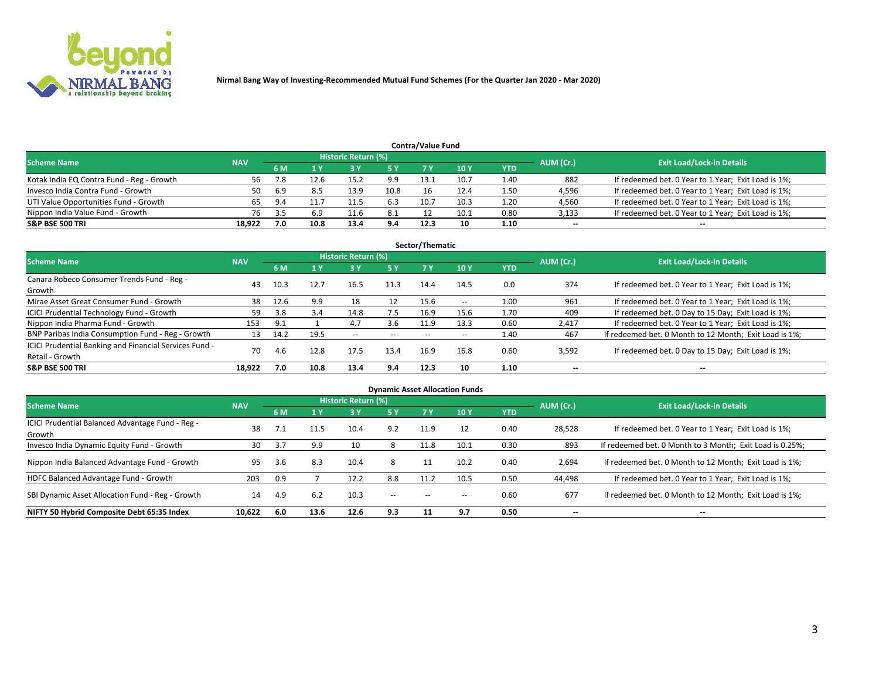

| <b>Contra/Value Fund</b>                                                                                        |        |      |      |      |      |      |      |            |        |                                                     |  |  |  |  |
|-----------------------------------------------------------------------------------------------------------------|--------|------|------|------|------|------|------|------------|--------|-----------------------------------------------------|--|--|--|--|
| <b>Historic Return (%)</b><br><b>Exit Load/Lock-in Details</b><br>AUM (Cr.)<br><b>Scheme Name</b><br><b>NAV</b> |        |      |      |      |      |      |      |            |        |                                                     |  |  |  |  |
|                                                                                                                 |        | 6 M  |      |      | 5 Y  | 7 V  | 10Y  | <b>YTD</b> |        |                                                     |  |  |  |  |
| Kotak India EQ Contra Fund - Reg - Growth                                                                       | 56     | 7.8  | 12.6 | 15.2 | 9.9  | 13.1 | 10.7 | 1.40       | 882    | If redeemed bet. 0 Year to 1 Year; Exit Load is 1%; |  |  |  |  |
| Invesco India Contra Fund - Growth                                                                              | 50     | -6.9 |      | 13.9 | 10.8 | 16   | 12.4 | 1.50       | 4,596  | If redeemed bet. 0 Year to 1 Year; Exit Load is 1%; |  |  |  |  |
| UTI Value Opportunities Fund - Growth                                                                           |        | 9.4  |      |      | 6.3  | 10.7 | 10.3 | 1.20       | 4,560  | If redeemed bet. 0 Year to 1 Year; Exit Load is 1%; |  |  |  |  |
| Nippon India Value Fund - Growth                                                                                | 76     |      | 6.9  | 11.6 | 8.1  |      | 10.1 | 0.80       | 3,133  | If redeemed bet. 0 Year to 1 Year; Exit Load is 1%; |  |  |  |  |
| <b>S&amp;P BSE 500 TRI</b>                                                                                      | 18,922 | 7.0  | 10.8 | 13.4 | 9.4  | 12.3 | 10   | 1.10       | $\sim$ | $- -$                                               |  |  |  |  |

| Sector/Thematic                                                           |            |      |      |                     |           |       |                          |            |                          |                                                        |  |  |  |  |
|---------------------------------------------------------------------------|------------|------|------|---------------------|-----------|-------|--------------------------|------------|--------------------------|--------------------------------------------------------|--|--|--|--|
| <b>Scheme Name</b>                                                        | <b>NAV</b> |      |      | Historic Return (%) |           |       |                          |            | AUM (Cr.)                | <b>Exit Load/Lock-in Details</b>                       |  |  |  |  |
|                                                                           |            | 6 M  | 1 Y  | 73 Y                | <b>5Y</b> | 7 Y   | 10Y                      | <b>YTD</b> |                          |                                                        |  |  |  |  |
| Canara Robeco Consumer Trends Fund - Reg -<br>Growth                      | 43         | 10.3 | 12.7 | 16.5                | 11.3      | 14.4  | 14.5                     | 0.0        | 374                      | If redeemed bet. 0 Year to 1 Year; Exit Load is 1%;    |  |  |  |  |
| Mirae Asset Great Consumer Fund - Growth                                  | 38         | 12.6 | 9.9  | 18                  | 12        | 15.6  | $\overline{\phantom{a}}$ | 1.00       | 961                      | If redeemed bet. 0 Year to 1 Year; Exit Load is 1%;    |  |  |  |  |
| ICICI Prudential Technology Fund - Growth                                 | 59         | 3.8  | 3.4  | 14.8                | 7.5       | 16.9  | 15.6                     | 1.70       | 409                      | If redeemed bet. 0 Day to 15 Day; Exit Load is 1%;     |  |  |  |  |
| Nippon India Pharma Fund - Growth                                         | 153        | 9.1  |      | 4.7                 | 3.6       | 11.9  | 13.3                     | 0.60       | 2,417                    | If redeemed bet. 0 Year to 1 Year; Exit Load is 1%;    |  |  |  |  |
| BNP Paribas India Consumption Fund - Reg - Growth                         | 13         | 14.2 | 19.5 | $- -$               | $- -$     | $- -$ | $- -$                    | 1.40       | 467                      | If redeemed bet. 0 Month to 12 Month; Exit Load is 1%; |  |  |  |  |
| ICICI Prudential Banking and Financial Services Fund -<br>Retail - Growth | 70         | 4.6  | 12.8 | 17.5                | 13.4      | 16.9  | 16.8                     | 0.60       | 3,592                    | If redeemed bet. 0 Day to 15 Day; Exit Load is 1%;     |  |  |  |  |
| <b>S&amp;P BSE 500 TRI</b>                                                | 18.922     | 7.0  | 10.8 | 13.4                | 9.4       | 12.3  | 10                       | 1.10       | $\overline{\phantom{a}}$ | $\overline{\phantom{a}}$                               |  |  |  |  |

| <b>Dynamic Asset Allocation Funds</b>                      |            |     |      |                     |               |      |                 |            |                          |                                                          |  |  |  |
|------------------------------------------------------------|------------|-----|------|---------------------|---------------|------|-----------------|------------|--------------------------|----------------------------------------------------------|--|--|--|
| <b>Scheme Name</b>                                         | <b>NAV</b> |     |      | Historic Return (%) |               |      |                 |            | AUM (Cr.)                | <b>Exit Load/Lock-in Details</b>                         |  |  |  |
|                                                            |            | 6 M |      | 3 Y                 | 5 Y           | 7 Y  | 10 <sub>Y</sub> | <b>YTD</b> |                          |                                                          |  |  |  |
| ICICI Prudential Balanced Advantage Fund - Reg -<br>Growth | 38         |     |      | 10.4                | 9.2           | 11.9 | 12              | 0.40       | 28,528                   | If redeemed bet. 0 Year to 1 Year; Exit Load is 1%;      |  |  |  |
| Invesco India Dynamic Equity Fund - Growth                 | 30         | 3.7 | 9.9  | 10                  | 8             | 11.8 | 10.1            | 0.30       | 893                      | If redeemed bet. 0 Month to 3 Month; Exit Load is 0.25%; |  |  |  |
| Nippon India Balanced Advantage Fund - Growth              | 95         | 3.6 | 8.3  | 10.4                | 8             |      | 10.2            | 0.40       | 2,694                    | If redeemed bet. 0 Month to 12 Month; Exit Load is 1%;   |  |  |  |
| HDFC Balanced Advantage Fund - Growth                      | 203        | 0.9 |      | 12.2                | 8.8           | 11.2 | 10.5            | 0.50       | 44,498                   | If redeemed bet. 0 Year to 1 Year; Exit Load is 1%;      |  |  |  |
| SBI Dynamic Asset Allocation Fund - Reg - Growth           | 14         | 4.9 | 6.2  | 10.3                | $\sim$ $\sim$ | --   | --              | 0.60       | 677                      | If redeemed bet. 0 Month to 12 Month; Exit Load is 1%;   |  |  |  |
| NIFTY 50 Hybrid Composite Debt 65:35 Index                 | 10,622     | 6.0 | 13.6 | 12.6                | 9.3           | 11   | 9.7             | 0.50       | $\overline{\phantom{a}}$ | $- -$                                                    |  |  |  |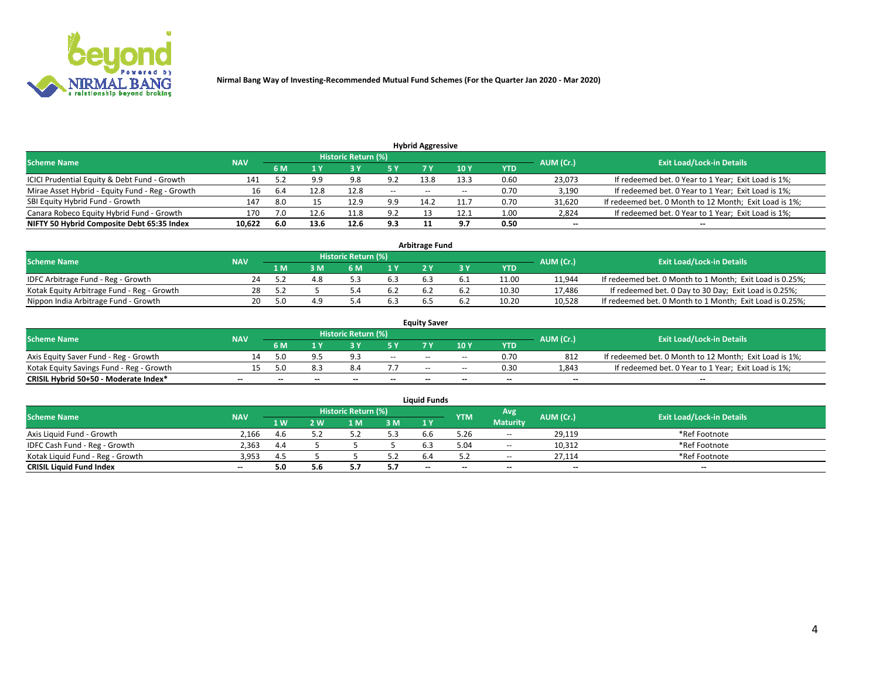

| <b>Hybrid Aggressive</b>                                                                                        |        |     |      |      |               |       |       |      |                          |                                                        |  |  |  |  |
|-----------------------------------------------------------------------------------------------------------------|--------|-----|------|------|---------------|-------|-------|------|--------------------------|--------------------------------------------------------|--|--|--|--|
| <b>Historic Return (%)</b><br><b>Exit Load/Lock-in Details</b><br>AUM (Cr.)<br><b>Scheme Name</b><br><b>NAV</b> |        |     |      |      |               |       |       |      |                          |                                                        |  |  |  |  |
|                                                                                                                 |        | 6 M |      |      | 5 Y           |       | 10Y   | YTD  |                          |                                                        |  |  |  |  |
| ICICI Prudential Equity & Debt Fund - Growth                                                                    | 141    |     | 9.9  | 9.8  | 9.2           | 13.8  | 13.3  | 0.60 | 23,073                   | If redeemed bet. 0 Year to 1 Year; Exit Load is 1%;    |  |  |  |  |
| Mirae Asset Hybrid - Equity Fund - Reg - Growth                                                                 | 16     | 6.4 | 12.8 | 12.8 | $\sim$ $\sim$ | $- -$ | $- -$ | 0.70 | 3,190                    | If redeemed bet. 0 Year to 1 Year; Exit Load is 1%;    |  |  |  |  |
| SBI Equity Hybrid Fund - Growth                                                                                 | 147    | 8.0 |      | 12.9 | 9.9           | 14.2  |       | 0.70 | 31,620                   | If redeemed bet. 0 Month to 12 Month; Exit Load is 1%; |  |  |  |  |
| Canara Robeco Equity Hybrid Fund - Growth                                                                       | 170    |     | 12.6 |      | 9.2           |       | 12.1  | 1.00 | 2,824                    | If redeemed bet. 0 Year to 1 Year; Exit Load is 1%;    |  |  |  |  |
| NIFTY 50 Hybrid Composite Debt 65:35 Index                                                                      | 10,622 | 6.0 | 13.6 | 12.6 | 9.3           |       | ດ 7   | 0.50 | $\overline{\phantom{a}}$ | $- -$                                                  |  |  |  |  |

|                                            |            |           |                                  |                | Arbitrage Fund |     |            |        |                                                          |
|--------------------------------------------|------------|-----------|----------------------------------|----------------|----------------|-----|------------|--------|----------------------------------------------------------|
| <b>Scheme Name</b>                         | <b>NAV</b> | AUM (Cr.) | <b>Exit Load/Lock-in Details</b> |                |                |     |            |        |                                                          |
|                                            |            | l M       | <b>M</b>                         | 1 <sub>V</sub> |                |     | <b>YTD</b> |        |                                                          |
| IDFC Arbitrage Fund - Reg - Growth         | 24         |           | 4.8                              |                |                |     | 11.00      | 11,944 | If redeemed bet. 0 Month to 1 Month; Exit Load is 0.25%; |
| Kotak Equity Arbitrage Fund - Reg - Growth |            |           |                                  | 6.2            |                | b.4 | 10.30      | 17.486 | If redeemed bet. 0 Day to 30 Day; Exit Load is 0.25%;    |
| Nippon India Arbitrage Fund - Growth       | 20         |           |                                  |                |                |     | 10.20      | 10.528 | If redeemed bet. 0 Month to 1 Month; Exit Load is 0.25%; |

|                                          | <b>Equity Saver</b> |           |                                  |                          |                          |               |               |            |                          |                                                        |  |  |  |  |  |
|------------------------------------------|---------------------|-----------|----------------------------------|--------------------------|--------------------------|---------------|---------------|------------|--------------------------|--------------------------------------------------------|--|--|--|--|--|
| Scheme Name                              | <b>NAV</b>          | AUM (Cr.) | <b>Exit Load/Lock-in Details</b> |                          |                          |               |               |            |                          |                                                        |  |  |  |  |  |
|                                          |                     | 6 M       |                                  |                          | 5 Y                      |               | $\sqrt{10}$ Y | <b>YTD</b> |                          |                                                        |  |  |  |  |  |
| Axis Equity Saver Fund - Reg - Growth    |                     | 5.0       |                                  | $\alpha$ .               | $\sim$                   | $- -$         | $- -$         | 0.70       | 812                      | If redeemed bet. 0 Month to 12 Month; Exit Load is 1%; |  |  |  |  |  |
| Kotak Equity Savings Fund - Reg - Growth |                     | 5.በ       |                                  | 8.4                      |                          | $\sim$ $\sim$ | $- -$         | 0.30       | 1,843                    | If redeemed bet. 0 Year to 1 Year; Exit Load is 1%;    |  |  |  |  |  |
| CRISIL Hybrid 50+50 - Moderate Index*    |                     | $-$       | $-$                              | $\overline{\phantom{a}}$ | $\overline{\phantom{a}}$ | $\sim$        | --            | $\sim$     | $\overline{\phantom{a}}$ | $- -$                                                  |  |  |  |  |  |

| <b>Liquid Funds</b>              |            |      |     |                            |      |                          |            |                 |           |                                  |  |  |  |
|----------------------------------|------------|------|-----|----------------------------|------|--------------------------|------------|-----------------|-----------|----------------------------------|--|--|--|
| Scheme Name                      | <b>NAV</b> |      |     | <b>Historic Return (%)</b> |      |                          | <b>YTM</b> | Avg             | AUM (Cr.) | <b>Exit Load/Lock-in Details</b> |  |  |  |
|                                  |            | 1 W. | 2 W | 1 M                        | 3M   | 71 Y                     |            | <b>Maturity</b> |           |                                  |  |  |  |
| Axis Liquid Fund - Growth        | 2,166      |      |     |                            | 5.3  | b.b                      | 5.26       | $\sim$          | 29,119    | *Ref Footnote                    |  |  |  |
| IDFC Cash Fund - Reg - Growth    | 2.363      | 4.4  |     |                            |      |                          | 5.04       | $- -$           | 10,312    | *Ref Footnote                    |  |  |  |
| Kotak Liquid Fund - Reg - Growth | 3,953      | 4.5  |     |                            | ے. ر |                          |            | $ -$            | 27.114    | *Ref Footnote                    |  |  |  |
| <b>CRISIL Liquid Fund Index</b>  | $\sim$     | .50  | 5.6 |                            | 5.7  | $\overline{\phantom{a}}$ | $-$        | $-$             | $\sim$    | $\sim$                           |  |  |  |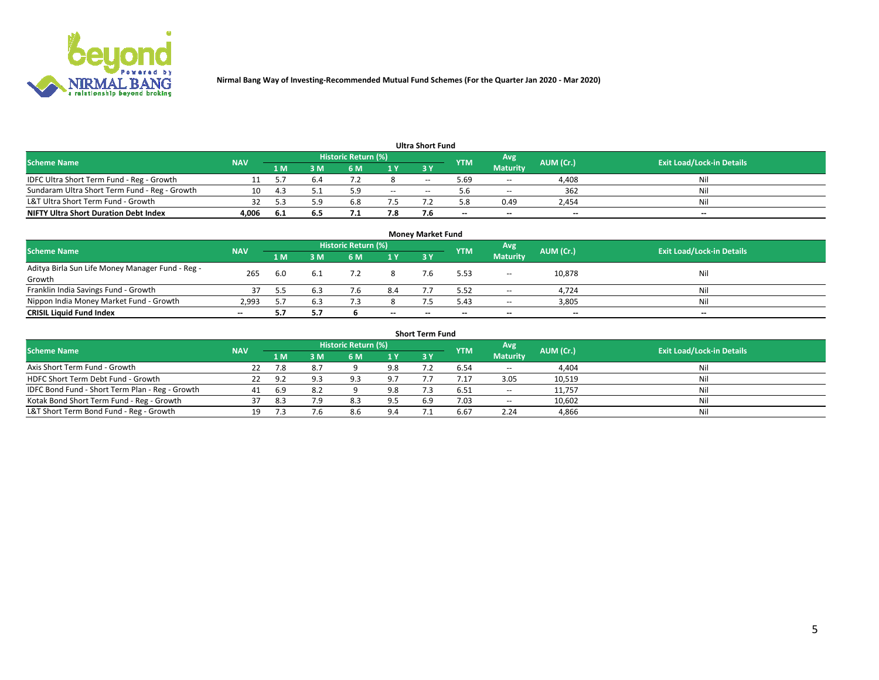

| <b>Ultra Short Fund</b>                       |            |      |     |                     |        |     |            |                 |           |                                  |  |  |  |
|-----------------------------------------------|------------|------|-----|---------------------|--------|-----|------------|-----------------|-----------|----------------------------------|--|--|--|
| <b>Scheme Name</b>                            | <b>NAV</b> |      |     | Historic Return (%) |        |     | <b>YTM</b> | Avg             | AUM (Cr.) | <b>Exit Load/Lock-in Details</b> |  |  |  |
|                                               |            | 1 M  | 3 M | 6 M                 | 1 Y    | 3 Y |            | <b>Maturity</b> |           |                                  |  |  |  |
| IDFC Ultra Short Term Fund - Reg - Growth     |            |      |     |                     |        | $-$ | ۔ 69. ذ    | $- -$           | 4.408     | Nil                              |  |  |  |
| Sundaram Ultra Short Term Fund - Reg - Growth |            |      |     |                     | $\sim$ | $-$ |            | $\sim$          | 362       | Nil                              |  |  |  |
| L&T Ultra Short Term Fund - Growth            |            |      | ۰۵. | b.ŏ                 |        |     | 8.د        | 0.49            | 2,454     | Nil                              |  |  |  |
| <b>NIFTY Ultra Short Duration Debt Index</b>  | 4,006      | -6.1 | 6.5 |                     | 7.8    |     | --         | $-$             | $- -$     | $- -$                            |  |  |  |

| <b>Monev Market Fund</b>                         |            |     |     |                     |                          |        |            |                 |           |                                  |  |  |  |
|--------------------------------------------------|------------|-----|-----|---------------------|--------------------------|--------|------------|-----------------|-----------|----------------------------------|--|--|--|
| <b>Scheme Name</b>                               | <b>NAV</b> |     |     | Historic Return (%) |                          |        | <b>YTM</b> | Avg             | AUM (Cr.) | <b>Exit Load/Lock-in Details</b> |  |  |  |
|                                                  |            | 1 M | 3 M | 6 M                 | 1Y                       | 3Y     |            | <b>Maturity</b> |           |                                  |  |  |  |
| Aditya Birla Sun Life Money Manager Fund - Reg - | 265        | 6.0 | 6.1 |                     |                          |        | 5.53       | $\sim$ $\sim$   | 10,878    | Nil                              |  |  |  |
| Growth                                           |            |     |     |                     |                          |        |            |                 |           |                                  |  |  |  |
| Franklin India Savings Fund - Growth             |            |     |     |                     | 8.4                      |        | 5.52       | $\sim$ $\sim$   | 4,724     | Nil                              |  |  |  |
| Nippon India Money Market Fund - Growth          | 2.993      |     | 6.3 |                     |                          |        | 5.43       | $\sim$          | 3,805     | Nil                              |  |  |  |
| <b>CRISIL Liquid Fund Index</b>                  | $\sim$     |     | 5.7 |                     | $\overline{\phantom{a}}$ | $\sim$ | --         | $\sim$          | $\sim$    | $- -$                            |  |  |  |

| <b>Short Term Fund</b>                          |            |     |     |                            |     |            |            |                 |           |                                  |  |  |  |  |
|-------------------------------------------------|------------|-----|-----|----------------------------|-----|------------|------------|-----------------|-----------|----------------------------------|--|--|--|--|
| <b>Scheme Name</b>                              | <b>NAV</b> |     |     | <b>Historic Return (%)</b> |     |            | <b>YTM</b> | Avg             | AUM (Cr.) | <b>Exit Load/Lock-in Details</b> |  |  |  |  |
|                                                 |            | 1 M | 3 M | 6 M                        | 1Y  | <b>3 Y</b> |            | <b>Maturity</b> |           |                                  |  |  |  |  |
| Axis Short Term Fund - Growth                   |            |     | 8.7 |                            | 9.8 |            | 6.54       | $-$             | 4,404     | Nil                              |  |  |  |  |
| HDFC Short Term Debt Fund - Growth              | 22         | 9.2 | 9.3 | ۹R                         | 9.7 |            |            | 3.05            | 10,519    | Nil                              |  |  |  |  |
| IDFC Bond Fund - Short Term Plan - Reg - Growth | 41         | 6.9 | 8.2 |                            | 9.8 |            | 6.51       | $\sim$ $\sim$   | 11.757    | Nil                              |  |  |  |  |
| Kotak Bond Short Term Fund - Reg - Growth       |            | 8.3 | 7.9 | 8.3                        | 9.5 | 6.9        | 7.03       | $\sim$          | 10,602    | Nil                              |  |  |  |  |
| L&T Short Term Bond Fund - Reg - Growth         |            |     | 7.6 | 8.6                        | 9.4 |            | 6.67       | 2.24            | 4,866     | Nil                              |  |  |  |  |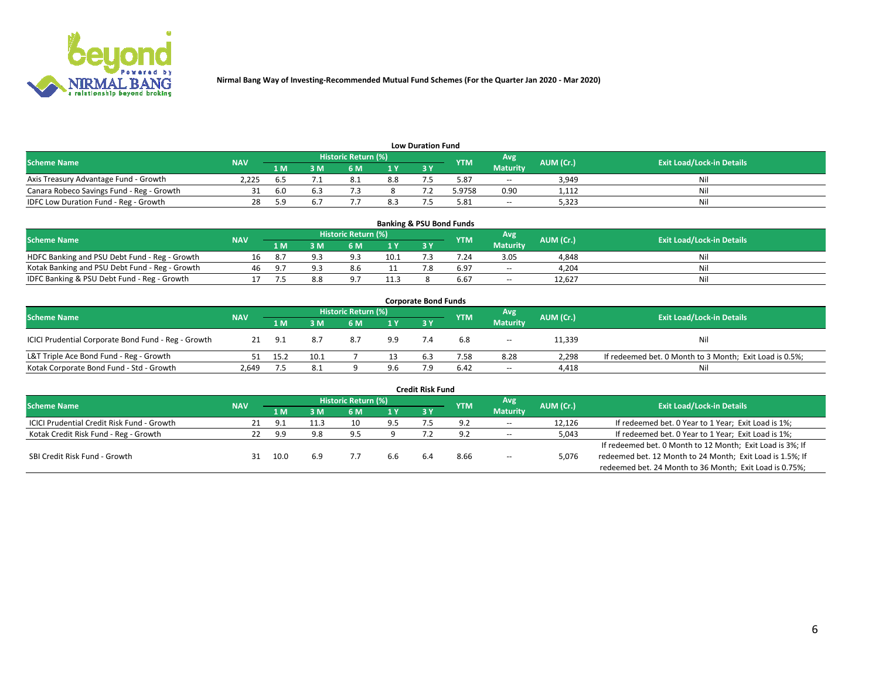

| <b>Low Duration Fund</b>                  |            |     |     |                            |     |    |            |                 |           |                                  |  |  |  |
|-------------------------------------------|------------|-----|-----|----------------------------|-----|----|------------|-----------------|-----------|----------------------------------|--|--|--|
| <b>Scheme Name</b>                        | <b>NAV</b> |     |     | <b>Historic Return (%)</b> |     |    | <b>YTM</b> | Avg             | AUM (Cr.) | <b>Exit Load/Lock-in Details</b> |  |  |  |
|                                           |            | 1 M | ያ M | 5 M                        |     | 2V |            | <b>Maturity</b> |           |                                  |  |  |  |
| Axis Treasury Advantage Fund - Growth     | 2.225      |     |     | 8.1                        | 8.8 |    | 5.87       | $-$             | 3,949     | Nil                              |  |  |  |
| Canara Robeco Savings Fund - Reg - Growth |            | 6.0 |     |                            |     |    | 5.9758     | 0.90            | 1,112     | Nil                              |  |  |  |
| IDFC Low Duration Fund - Reg - Growth     |            |     |     |                            | 8.3 |    | 5.81       | $\sim$ $\sim$   | 5,323     | Nil                              |  |  |  |

| <b>Banking &amp; PSU Bond Funds</b>            |            |        |     |                     |      |           |            |                 |           |                                  |  |  |  |
|------------------------------------------------|------------|--------|-----|---------------------|------|-----------|------------|-----------------|-----------|----------------------------------|--|--|--|
| <b>Scheme Name</b>                             | <b>NAV</b> |        |     | Historic Return (%) |      |           | <b>YTM</b> | Avg             | AUM (Cr.) | <b>Exit Load/Lock-in Details</b> |  |  |  |
|                                                |            | 1 M    | ያ M |                     | 1Y   | <b>3Y</b> |            | <b>Maturity</b> |           |                                  |  |  |  |
| HDFC Banking and PSU Debt Fund - Reg - Growth  |            |        |     | <b>a</b> :          | 10.1 |           | 7.24       | 3.05            | 4,848     | Nil                              |  |  |  |
| Kotak Banking and PSU Debt Fund - Reg - Growth | 46         | - 0. 7 |     | 8.6                 |      |           | 6.97       | $\sim$          | 4.204     | Nil                              |  |  |  |
| IDFC Banking & PSU Debt Fund - Reg - Growth    |            |        | 8.8 | 07                  | 11.3 |           | 6.67       | $- -$           | 12.627    | Nil                              |  |  |  |

| <b>Corporate Bond Funds</b>                         |            |      |      |                            |     |     |            |                  |           |                                                         |  |  |  |  |
|-----------------------------------------------------|------------|------|------|----------------------------|-----|-----|------------|------------------|-----------|---------------------------------------------------------|--|--|--|--|
| <b>Scheme Name</b>                                  | <b>NAV</b> |      |      | <b>Historic Return (%)</b> |     |     | <b>YTM</b> | Avg <sup>1</sup> | AUM (Cr.) | <b>Exit Load/Lock-in Details</b>                        |  |  |  |  |
|                                                     |            | 1 M  | : M  | 6 M                        | 1 Y | 3Y  |            | <b>Maturity</b>  |           |                                                         |  |  |  |  |
| ICICI Prudential Corporate Bond Fund - Reg - Growth | 21         | -9.1 | 8.7  | 8.7                        | 9.9 |     | 6.8        | $\sim$ $\sim$    | 11,339    | Nil                                                     |  |  |  |  |
| L&T Triple Ace Bond Fund - Reg - Growth             |            | 15.2 | 10.1 |                            |     | 6.3 | 7.58       | 8.28             | 2,298     | If redeemed bet. 0 Month to 3 Month; Exit Load is 0.5%; |  |  |  |  |
| Kotak Corporate Bond Fund - Std - Growth            | 2.649      |      | 8.1  |                            | 9.6 |     | 6.42       | $\sim$ $\sim$    | 4,418     | Nil                                                     |  |  |  |  |

| <b>Credit Risk Fund</b>                           |            |       |      |                            |     |                                 |            |                 |           |                                                           |  |  |  |
|---------------------------------------------------|------------|-------|------|----------------------------|-----|---------------------------------|------------|-----------------|-----------|-----------------------------------------------------------|--|--|--|
| <b>Scheme Name</b>                                | <b>NAV</b> |       |      | <b>Historic Return (%)</b> |     |                                 | <b>YTM</b> | Avg             | AUM (Cr.) | <b>Exit Load/Lock-in Details</b>                          |  |  |  |
|                                                   |            | 1 M   | 3 M  | 6 M                        | 1Y  | <b>3Y</b>                       |            | <b>Maturity</b> |           |                                                           |  |  |  |
| <b>ICICI Prudential Credit Risk Fund - Growth</b> | 21         | - Q 1 | 11.3 | 10                         | 9.5 | $\overline{ }$ . $\overline{ }$ | 9.2        | $-$             | 12,126    | If redeemed bet. 0 Year to 1 Year; Exit Load is 1%;       |  |  |  |
| Kotak Credit Risk Fund - Reg - Growth             |            | 9.9   | 9.8  | 9.5                        |     |                                 |            | $- -$           | 5,043     | If redeemed bet. 0 Year to 1 Year; Exit Load is 1%;       |  |  |  |
|                                                   |            |       |      |                            |     |                                 |            |                 |           | If redeemed bet. 0 Month to 12 Month; Exit Load is 3%; If |  |  |  |
| SBI Credit Risk Fund - Growth                     |            | 10.0  | 6.9  |                            | 6.6 | 6.4                             | 8.66       | $- -$           | 5,076     | redeemed bet. 12 Month to 24 Month; Exit Load is 1.5%; If |  |  |  |
|                                                   |            |       |      |                            |     |                                 |            |                 |           | redeemed bet. 24 Month to 36 Month; Exit Load is 0.75%;   |  |  |  |